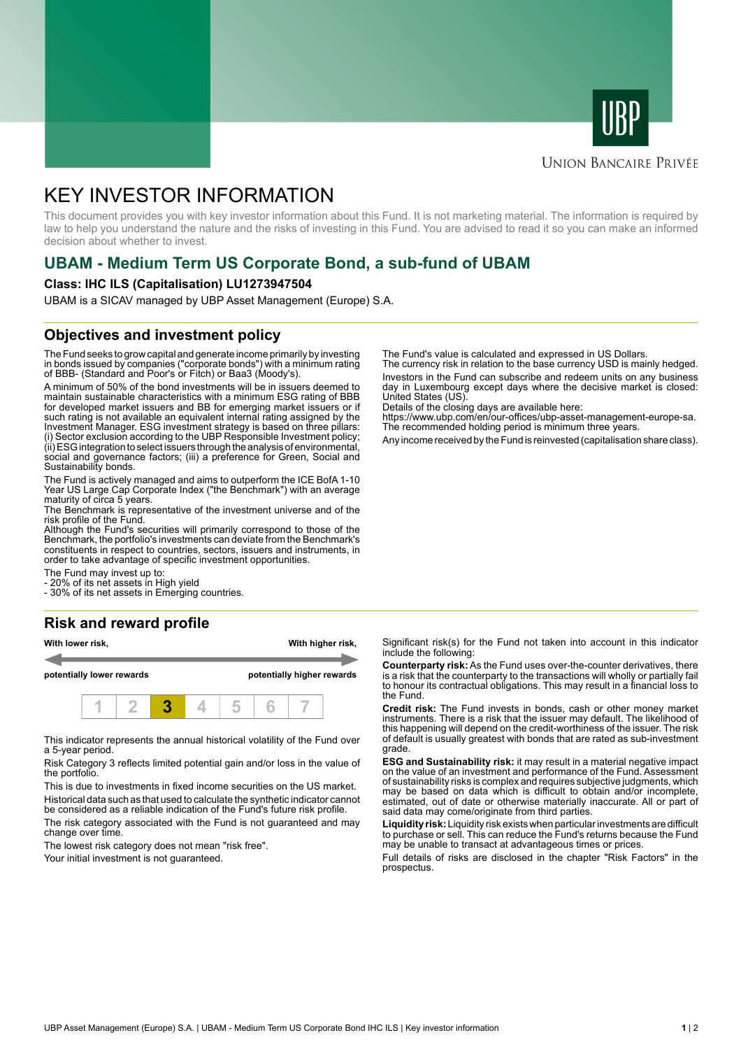



#### **UNION BANCAIRE PRIVÉE**

# KEY INVESTOR INFORMATION

This document provides you with key investor information about this Fund. It is not marketing material. The information is required by law to help you understand the nature and the risks of investing in this Fund. You are advised to read it so you can make an informed decision about whether to invest.

# **UBAM - Medium Term US Corporate Bond, a sub-fund of UBAM**

#### **Class: IHC ILS (Capitalisation) LU1273947504**

UBAM is a SICAV managed by UBP Asset Management (Europe) S.A.

## **Objectives and investment policy**

The Fund seeks to grow capital and generate income primarily by investing in bonds issued by companies ("corporate bonds") with a minimum rating of BBB- (Standard and Poor's or Fitch) or Baa3 (Moody's).

A minimum of 50% of the bond investments will be in issuers deemed to maintain sustainable characteristics with a minimum ESG rating of BBB for developed market issuers and BB for emerging market issuers or if such rating is not available an equivalent internal rating assigned by the Investment Manager. ESG investment strategy is based on three pillars: (i) Sector exclusion according to the UBP Responsible Investment policy; (ii) ESG integration to select issuers through the analysis of environmental, social and governance factors; (iii) a preference for Green, Social and Sustainability bonds.

The Fund is actively managed and aims to outperform the ICE BofA 1-10 Year US Large Cap Corporate Index ("the Benchmark") with an average maturity of circa 5 years.

The Benchmark is representative of the investment universe and of the risk profile of the Fund.

Although the Fund's securities will primarily correspond to those of the Benchmark, the portfolio's investments can deviate from the Benchmark's constituents in respect to countries, sectors, issuers and instruments, in order to take advantage of specific investment opportunities.

The Fund may invest up to:

20% of its net assets in High yield

- 30% of its net assets in Emerging countries.

## **Risk and reward profile**

| With lower risk,<br>potentially lower rewards |  |  |  |  | With higher risk,<br>potentially higher rewards |  |  |  |
|-----------------------------------------------|--|--|--|--|-------------------------------------------------|--|--|--|
|                                               |  |  |  |  |                                                 |  |  |  |

This indicator represents the annual historical volatility of the Fund over a 5-year period.

Risk Category 3 reflects limited potential gain and/or loss in the value of the portfolio.

This is due to investments in fixed income securities on the US market. Historical data such as that used to calculate the synthetic indicator cannot

be considered as a reliable indication of the Fund's future risk profile. The risk category associated with the Fund is not guaranteed and may change over time.

The lowest risk category does not mean "risk free".

Your initial investment is not guaranteed.

The Fund's value is calculated and expressed in US Dollars.

The currency risk in relation to the base currency USD is mainly hedged. Investors in the Fund can subscribe and redeem units on any business day in Luxembourg except days where the decisive market is closed: United States (US).

Details of the closing days are available here:

https://www.ubp.com/en/our-offices/ubp-asset-management-europe-sa. The recommended holding period is minimum three years.

Any income received by the Fund is reinvested (capitalisation share class).

Significant risk(s) for the Fund not taken into account in this indicator include the following:

**Counterparty risk:** As the Fund uses over-the-counter derivatives, there is a risk that the counterparty to the transactions will wholly or partially fail to honour its contractual obligations. This may result in a financial loss to the Fund.

**Credit risk:** The Fund invests in bonds, cash or other money market instruments. There is a risk that the issuer may default. The likelihood of this happening will depend on the credit-worthiness of the issuer. The risk of default is usually greatest with bonds that are rated as sub-investment grade.

**ESG and Sustainability risk:** it may result in a material negative impact on the value of an investment and performance of the Fund. Assessment of sustainability risks is complex and requires subjective judgments, which may be based on data which is difficult to obtain and/or incomplete, estimated, out of date or otherwise materially inaccurate. All or part of said data may come/originate from third parties.

**Liquidity risk:** Liquidity risk exists when particular investments are difficult to purchase or sell. This can reduce the Fund's returns because the Fund may be unable to transact at advantageous times or prices.

Full details of risks are disclosed in the chapter "Risk Factors" in the prospectus.